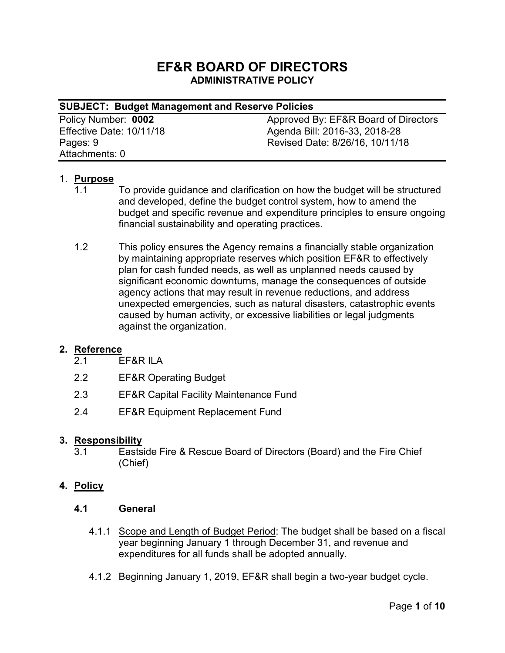# **EF&R BOARD OF DIRECTORS ADMINISTRATIVE POLICY**

| <b>SUBJECT: Budget Management and Reserve Policies</b> |                                      |
|--------------------------------------------------------|--------------------------------------|
| Policy Number: 0002                                    | Approved By: EF&R Board of Directors |
| Effective Date: 10/11/18                               | Agenda Bill: 2016-33, 2018-28        |
| Pages: 9                                               | Revised Date: 8/26/16, 10/11/18      |
| Attachments: 0                                         |                                      |

### 1. **Purpose**

- 1.1 To provide guidance and clarification on how the budget will be structured and developed, define the budget control system, how to amend the budget and specific revenue and expenditure principles to ensure ongoing financial sustainability and operating practices.
- 1.2 This policy ensures the Agency remains a financially stable organization by maintaining appropriate reserves which position EF&R to effectively plan for cash funded needs, as well as unplanned needs caused by significant economic downturns, manage the consequences of outside agency actions that may result in revenue reductions, and address unexpected emergencies, such as natural disasters, catastrophic events caused by human activity, or excessive liabilities or legal judgments against the organization.

#### **2. Reference**

- 2.1 EF&R ILA
- 2.2 EF&R Operating Budget
- 2.3 EF&R Capital Facility Maintenance Fund
- 2.4 EF&R Equipment Replacement Fund

#### **3. Responsibility**

3.1 Eastside Fire & Rescue Board of Directors (Board) and the Fire Chief (Chief)

### **4. Policy**

- **4.1 General**
	- 4.1.1 Scope and Length of Budget Period: The budget shall be based on a fiscal year beginning January 1 through December 31, and revenue and expenditures for all funds shall be adopted annually.
	- 4.1.2 Beginning January 1, 2019, EF&R shall begin a two-year budget cycle.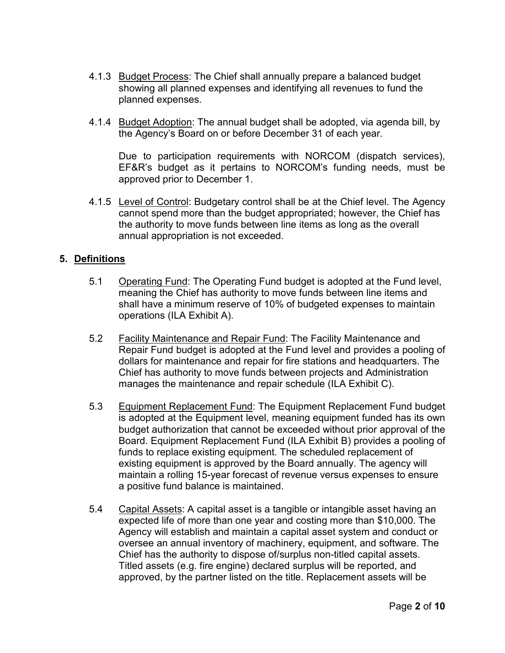- 4.1.3 Budget Process: The Chief shall annually prepare a balanced budget showing all planned expenses and identifying all revenues to fund the planned expenses.
- 4.1.4 Budget Adoption: The annual budget shall be adopted, via agenda bill, by the Agency's Board on or before December 31 of each year.

Due to participation requirements with NORCOM (dispatch services), EF&R's budget as it pertains to NORCOM's funding needs, must be approved prior to December 1.

4.1.5 Level of Control: Budgetary control shall be at the Chief level. The Agency cannot spend more than the budget appropriated; however, the Chief has the authority to move funds between line items as long as the overall annual appropriation is not exceeded.

## **5. Definitions**

- 5.1 Operating Fund: The Operating Fund budget is adopted at the Fund level, meaning the Chief has authority to move funds between line items and shall have a minimum reserve of 10% of budgeted expenses to maintain operations (ILA Exhibit A).
- 5.2 Facility Maintenance and Repair Fund: The Facility Maintenance and Repair Fund budget is adopted at the Fund level and provides a pooling of dollars for maintenance and repair for fire stations and headquarters. The Chief has authority to move funds between projects and Administration manages the maintenance and repair schedule (ILA Exhibit C).
- 5.3 Equipment Replacement Fund: The Equipment Replacement Fund budget is adopted at the Equipment level, meaning equipment funded has its own budget authorization that cannot be exceeded without prior approval of the Board. Equipment Replacement Fund (ILA Exhibit B) provides a pooling of funds to replace existing equipment. The scheduled replacement of existing equipment is approved by the Board annually. The agency will maintain a rolling 15-year forecast of revenue versus expenses to ensure a positive fund balance is maintained.
- 5.4 Capital Assets: A capital asset is a tangible or intangible asset having an expected life of more than one year and costing more than \$10,000. The Agency will establish and maintain a capital asset system and conduct or oversee an annual inventory of machinery, equipment, and software. The Chief has the authority to dispose of/surplus non-titled capital assets. Titled assets (e.g. fire engine) declared surplus will be reported, and approved, by the partner listed on the title. Replacement assets will be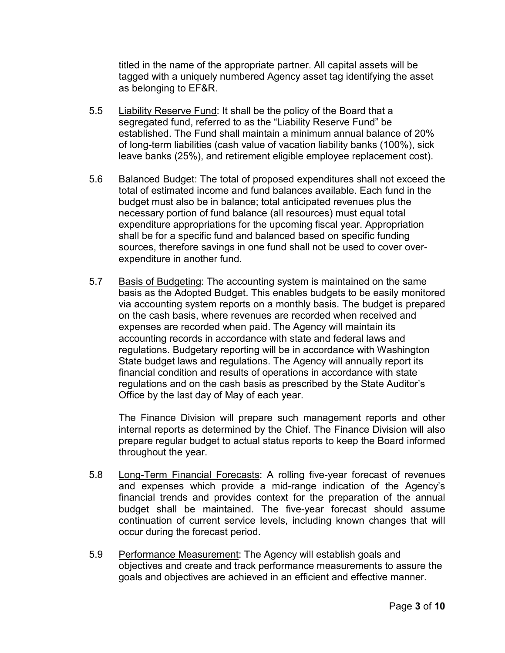titled in the name of the appropriate partner. All capital assets will be tagged with a uniquely numbered Agency asset tag identifying the asset as belonging to EF&R.

- 5.5 Liability Reserve Fund: It shall be the policy of the Board that a segregated fund, referred to as the "Liability Reserve Fund" be established. The Fund shall maintain a minimum annual balance of 20% of long-term liabilities (cash value of vacation liability banks (100%), sick leave banks (25%), and retirement eligible employee replacement cost).
- 5.6 Balanced Budget: The total of proposed expenditures shall not exceed the total of estimated income and fund balances available. Each fund in the budget must also be in balance; total anticipated revenues plus the necessary portion of fund balance (all resources) must equal total expenditure appropriations for the upcoming fiscal year. Appropriation shall be for a specific fund and balanced based on specific funding sources, therefore savings in one fund shall not be used to cover overexpenditure in another fund.
- 5.7 Basis of Budgeting: The accounting system is maintained on the same basis as the Adopted Budget. This enables budgets to be easily monitored via accounting system reports on a monthly basis. The budget is prepared on the cash basis, where revenues are recorded when received and expenses are recorded when paid. The Agency will maintain its accounting records in accordance with state and federal laws and regulations. Budgetary reporting will be in accordance with Washington State budget laws and regulations. The Agency will annually report its financial condition and results of operations in accordance with state regulations and on the cash basis as prescribed by the State Auditor's Office by the last day of May of each year.

The Finance Division will prepare such management reports and other internal reports as determined by the Chief. The Finance Division will also prepare regular budget to actual status reports to keep the Board informed throughout the year.

- 5.8 Long-Term Financial Forecasts: A rolling five-year forecast of revenues and expenses which provide a mid-range indication of the Agency's financial trends and provides context for the preparation of the annual budget shall be maintained. The five-year forecast should assume continuation of current service levels, including known changes that will occur during the forecast period.
- 5.9 Performance Measurement: The Agency will establish goals and objectives and create and track performance measurements to assure the goals and objectives are achieved in an efficient and effective manner.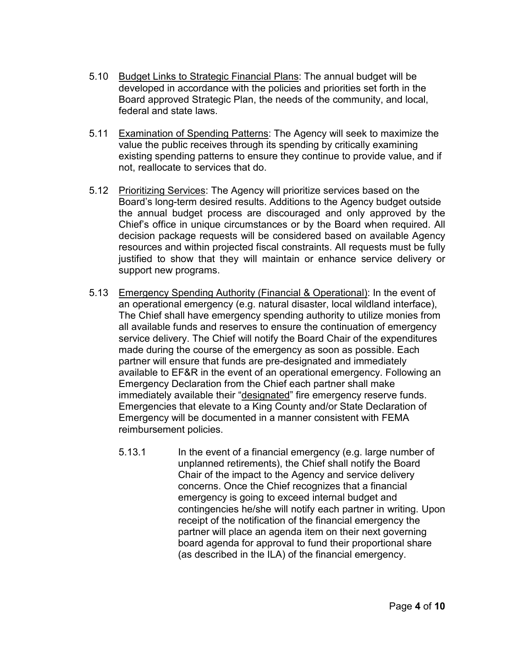- 5.10 Budget Links to Strategic Financial Plans: The annual budget will be developed in accordance with the policies and priorities set forth in the Board approved Strategic Plan, the needs of the community, and local, federal and state laws.
- 5.11 Examination of Spending Patterns: The Agency will seek to maximize the value the public receives through its spending by critically examining existing spending patterns to ensure they continue to provide value, and if not, reallocate to services that do.
- 5.12 Prioritizing Services: The Agency will prioritize services based on the Board's long-term desired results. Additions to the Agency budget outside the annual budget process are discouraged and only approved by the Chief's office in unique circumstances or by the Board when required. All decision package requests will be considered based on available Agency resources and within projected fiscal constraints. All requests must be fully justified to show that they will maintain or enhance service delivery or support new programs.
- 5.13 Emergency Spending Authority (Financial & Operational): In the event of an operational emergency (e.g. natural disaster, local wildland interface), The Chief shall have emergency spending authority to utilize monies from all available funds and reserves to ensure the continuation of emergency service delivery. The Chief will notify the Board Chair of the expenditures made during the course of the emergency as soon as possible. Each partner will ensure that funds are pre-designated and immediately available to EF&R in the event of an operational emergency. Following an Emergency Declaration from the Chief each partner shall make immediately available their "designated" fire emergency reserve funds. Emergencies that elevate to a King County and/or State Declaration of Emergency will be documented in a manner consistent with FEMA reimbursement policies.
	- 5.13.1 In the event of a financial emergency (e.g. large number of unplanned retirements), the Chief shall notify the Board Chair of the impact to the Agency and service delivery concerns. Once the Chief recognizes that a financial emergency is going to exceed internal budget and contingencies he/she will notify each partner in writing. Upon receipt of the notification of the financial emergency the partner will place an agenda item on their next governing board agenda for approval to fund their proportional share (as described in the ILA) of the financial emergency.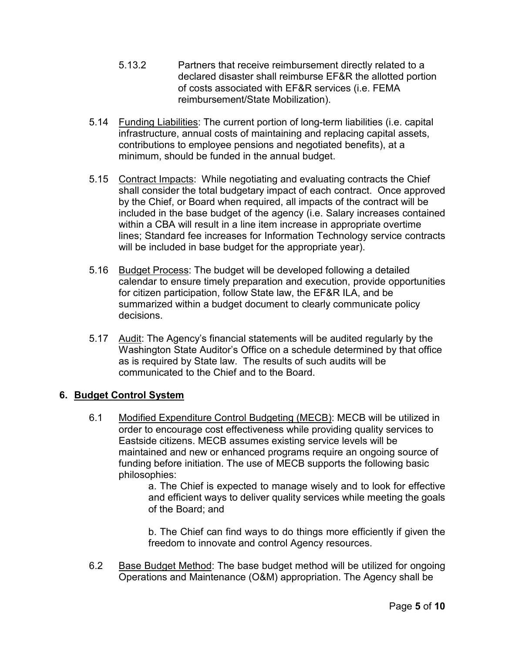- 5.13.2 Partners that receive reimbursement directly related to a declared disaster shall reimburse EF&R the allotted portion of costs associated with EF&R services (i.e. FEMA reimbursement/State Mobilization).
- 5.14 Funding Liabilities: The current portion of long-term liabilities (i.e. capital infrastructure, annual costs of maintaining and replacing capital assets, contributions to employee pensions and negotiated benefits), at a minimum, should be funded in the annual budget.
- 5.15 Contract Impacts: While negotiating and evaluating contracts the Chief shall consider the total budgetary impact of each contract. Once approved by the Chief, or Board when required, all impacts of the contract will be included in the base budget of the agency (i.e. Salary increases contained within a CBA will result in a line item increase in appropriate overtime lines; Standard fee increases for Information Technology service contracts will be included in base budget for the appropriate year).
- 5.16 Budget Process: The budget will be developed following a detailed calendar to ensure timely preparation and execution, provide opportunities for citizen participation, follow State law, the EF&R ILA, and be summarized within a budget document to clearly communicate policy decisions.
- 5.17 Audit: The Agency's financial statements will be audited regularly by the Washington State Auditor's Office on a schedule determined by that office as is required by State law. The results of such audits will be communicated to the Chief and to the Board.

# **6. Budget Control System**

6.1 Modified Expenditure Control Budgeting (MECB): MECB will be utilized in order to encourage cost effectiveness while providing quality services to Eastside citizens. MECB assumes existing service levels will be maintained and new or enhanced programs require an ongoing source of funding before initiation. The use of MECB supports the following basic philosophies:

a. The Chief is expected to manage wisely and to look for effective and efficient ways to deliver quality services while meeting the goals of the Board; and

b. The Chief can find ways to do things more efficiently if given the freedom to innovate and control Agency resources.

6.2 Base Budget Method: The base budget method will be utilized for ongoing Operations and Maintenance (O&M) appropriation. The Agency shall be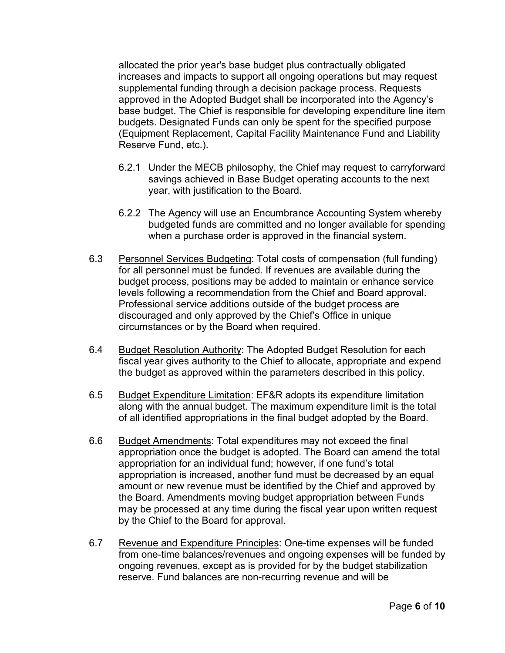allocated the prior year's base budget plus contractually obligated increases and impacts to support all ongoing operations but may request supplemental funding through a decision package process. Requests approved in the Adopted Budget shall be incorporated into the Agency's base budget. The Chief is responsible for developing expenditure line item budgets. Designated Funds can only be spent for the specified purpose (Equipment Replacement, Capital Facility Maintenance Fund and Liability Reserve Fund, etc.).

- 6.2.1 Under the MECB philosophy, the Chief may request to carryforward savings achieved in Base Budget operating accounts to the next year, with justification to the Board.
- 6.2.2 The Agency will use an Encumbrance Accounting System whereby budgeted funds are committed and no longer available for spending when a purchase order is approved in the financial system.
- 6.3 Personnel Services Budgeting: Total costs of compensation (full funding) for all personnel must be funded. If revenues are available during the budget process, positions may be added to maintain or enhance service levels following a recommendation from the Chief and Board approval. Professional service additions outside of the budget process are discouraged and only approved by the Chief's Office in unique circumstances or by the Board when required.
- 6.4 Budget Resolution Authority: The Adopted Budget Resolution for each fiscal year gives authority to the Chief to allocate, appropriate and expend the budget as approved within the parameters described in this policy.
- 6.5 Budget Expenditure Limitation: EF&R adopts its expenditure limitation along with the annual budget. The maximum expenditure limit is the total of all identified appropriations in the final budget adopted by the Board.
- 6.6 Budget Amendments: Total expenditures may not exceed the final appropriation once the budget is adopted. The Board can amend the total appropriation for an individual fund; however, if one fund's total appropriation is increased, another fund must be decreased by an equal amount or new revenue must be identified by the Chief and approved by the Board. Amendments moving budget appropriation between Funds may be processed at any time during the fiscal year upon written request by the Chief to the Board for approval.
- 6.7 Revenue and Expenditure Principles: One-time expenses will be funded from one-time balances/revenues and ongoing expenses will be funded by ongoing revenues, except as is provided for by the budget stabilization reserve. Fund balances are non-recurring revenue and will be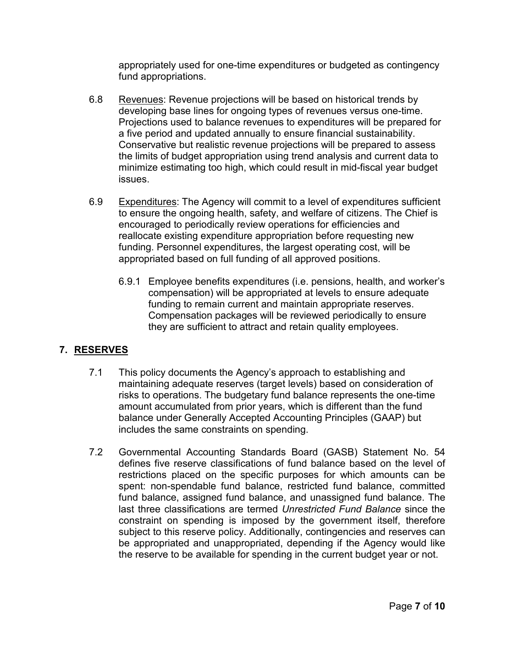appropriately used for one-time expenditures or budgeted as contingency fund appropriations.

- 6.8 Revenues: Revenue projections will be based on historical trends by developing base lines for ongoing types of revenues versus one-time. Projections used to balance revenues to expenditures will be prepared for a five period and updated annually to ensure financial sustainability. Conservative but realistic revenue projections will be prepared to assess the limits of budget appropriation using trend analysis and current data to minimize estimating too high, which could result in mid-fiscal year budget issues.
- 6.9 Expenditures: The Agency will commit to a level of expenditures sufficient to ensure the ongoing health, safety, and welfare of citizens. The Chief is encouraged to periodically review operations for efficiencies and reallocate existing expenditure appropriation before requesting new funding. Personnel expenditures, the largest operating cost, will be appropriated based on full funding of all approved positions.
	- 6.9.1 Employee benefits expenditures (i.e. pensions, health, and worker's compensation) will be appropriated at levels to ensure adequate funding to remain current and maintain appropriate reserves. Compensation packages will be reviewed periodically to ensure they are sufficient to attract and retain quality employees.

# **7. RESERVES**

- 7.1 This policy documents the Agency's approach to establishing and maintaining adequate reserves (target levels) based on consideration of risks to operations. The budgetary fund balance represents the one-time amount accumulated from prior years, which is different than the fund balance under Generally Accepted Accounting Principles (GAAP) but includes the same constraints on spending.
- 7.2 Governmental Accounting Standards Board (GASB) Statement No. 54 defines five reserve classifications of fund balance based on the level of restrictions placed on the specific purposes for which amounts can be spent: non-spendable fund balance, restricted fund balance, committed fund balance, assigned fund balance, and unassigned fund balance. The last three classifications are termed *Unrestricted Fund Balance* since the constraint on spending is imposed by the government itself, therefore subject to this reserve policy. Additionally, contingencies and reserves can be appropriated and unappropriated, depending if the Agency would like the reserve to be available for spending in the current budget year or not.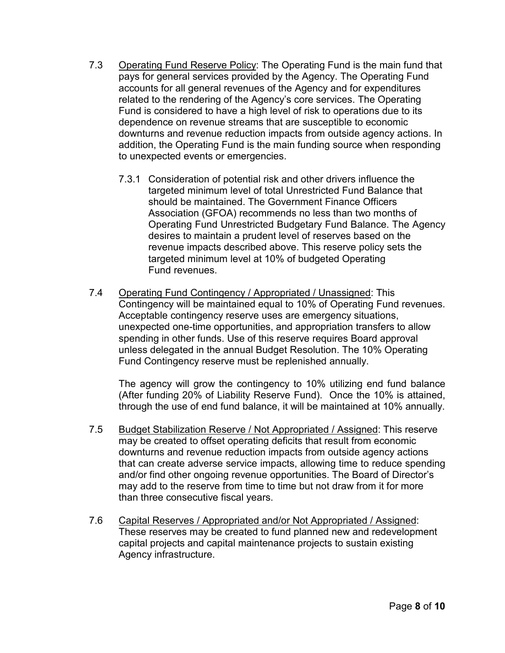- 7.3 Operating Fund Reserve Policy: The Operating Fund is the main fund that pays for general services provided by the Agency. The Operating Fund accounts for all general revenues of the Agency and for expenditures related to the rendering of the Agency's core services. The Operating Fund is considered to have a high level of risk to operations due to its dependence on revenue streams that are susceptible to economic downturns and revenue reduction impacts from outside agency actions. In addition, the Operating Fund is the main funding source when responding to unexpected events or emergencies.
	- 7.3.1 Consideration of potential risk and other drivers influence the targeted minimum level of total Unrestricted Fund Balance that should be maintained. The Government Finance Officers Association (GFOA) recommends no less than two months of Operating Fund Unrestricted Budgetary Fund Balance. The Agency desires to maintain a prudent level of reserves based on the revenue impacts described above. This reserve policy sets the targeted minimum level at 10% of budgeted Operating Fund revenues.
- 7.4 Operating Fund Contingency / Appropriated / Unassigned: This Contingency will be maintained equal to 10% of Operating Fund revenues. Acceptable contingency reserve uses are emergency situations, unexpected one-time opportunities, and appropriation transfers to allow spending in other funds. Use of this reserve requires Board approval unless delegated in the annual Budget Resolution. The 10% Operating Fund Contingency reserve must be replenished annually.

The agency will grow the contingency to 10% utilizing end fund balance (After funding 20% of Liability Reserve Fund). Once the 10% is attained, through the use of end fund balance, it will be maintained at 10% annually.

- 7.5 Budget Stabilization Reserve / Not Appropriated / Assigned: This reserve may be created to offset operating deficits that result from economic downturns and revenue reduction impacts from outside agency actions that can create adverse service impacts, allowing time to reduce spending and/or find other ongoing revenue opportunities. The Board of Director's may add to the reserve from time to time but not draw from it for more than three consecutive fiscal years.
- 7.6 Capital Reserves / Appropriated and/or Not Appropriated / Assigned: These reserves may be created to fund planned new and redevelopment capital projects and capital maintenance projects to sustain existing Agency infrastructure.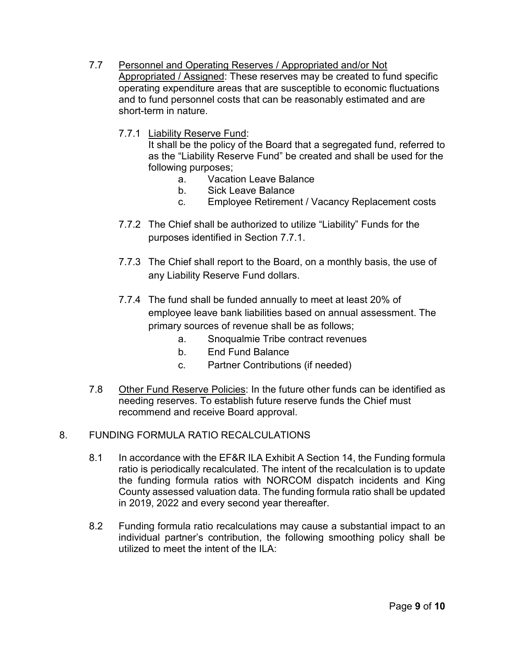- 7.7 Personnel and Operating Reserves / Appropriated and/or Not Appropriated / Assigned: These reserves may be created to fund specific operating expenditure areas that are susceptible to economic fluctuations and to fund personnel costs that can be reasonably estimated and are short-term in nature.
	- 7.7.1 Liability Reserve Fund:

It shall be the policy of the Board that a segregated fund, referred to as the "Liability Reserve Fund" be created and shall be used for the following purposes;

- a. Vacation Leave Balance
- b. Sick Leave Balance
- c. Employee Retirement / Vacancy Replacement costs
- 7.7.2 The Chief shall be authorized to utilize "Liability" Funds for the purposes identified in Section 7.7.1.
- 7.7.3 The Chief shall report to the Board, on a monthly basis, the use of any Liability Reserve Fund dollars.
- 7.7.4 The fund shall be funded annually to meet at least 20% of employee leave bank liabilities based on annual assessment. The primary sources of revenue shall be as follows;
	- a. Snoqualmie Tribe contract revenues
	- b. End Fund Balance
	- c. Partner Contributions (if needed)
- 7.8 Other Fund Reserve Policies: In the future other funds can be identified as needing reserves. To establish future reserve funds the Chief must recommend and receive Board approval.

### 8. FUNDING FORMULA RATIO RECALCULATIONS

- 8.1 In accordance with the EF&R ILA Exhibit A Section 14, the Funding formula ratio is periodically recalculated. The intent of the recalculation is to update the funding formula ratios with NORCOM dispatch incidents and King County assessed valuation data. The funding formula ratio shall be updated in 2019, 2022 and every second year thereafter.
- 8.2 Funding formula ratio recalculations may cause a substantial impact to an individual partner's contribution, the following smoothing policy shall be utilized to meet the intent of the ILA: